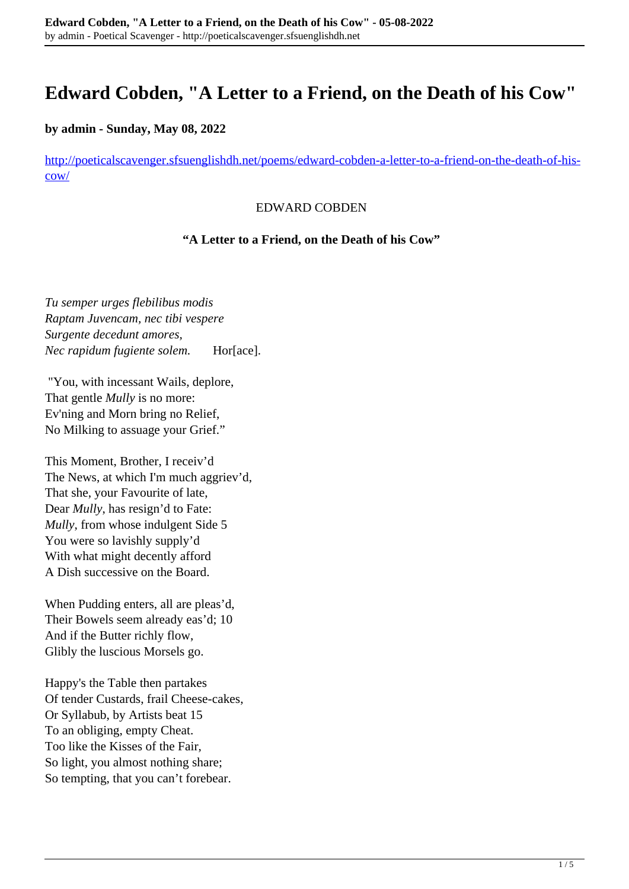# **Edward Cobden, "A Letter to a Friend, on the Death of his Cow"**

### **by admin - Sunday, May 08, 2022**

[http://poeticalscavenger.sfsuenglishdh.net/poems/edward-cobden-a-letter-to-a-friend-on-the-death-of-his](http://poeticalscavenger.sfsuenglishdh.net/poems/edward-cobden-a-letter-to-a-friend-on-the-death-of-his-cow/)[cow/](http://poeticalscavenger.sfsuenglishdh.net/poems/edward-cobden-a-letter-to-a-friend-on-the-death-of-his-cow/)

#### EDWARD COBDEN

#### **"A Letter to a Friend, on the Death of his Cow"**

*Tu semper urges flebilibus modis Raptam Juvencam, nec tibi vespere Surgente decedunt amores, Nec rapidum fugiente solem.* Hor[ace].

"You, with incessant Wails, deplore, That gentle *Mully* is no more: Ev'ning and Morn bring no Relief, No Milking to assuage your Grief."

This Moment, Brother, I receiv'd The News, at which I'm much aggriev'd, That she, your Favourite of late, Dear *Mully*, has resign'd to Fate: *Mully*, from whose indulgent Side 5 You were so lavishly supply'd With what might decently afford A Dish successive on the Board.

When Pudding enters, all are pleas'd, Their Bowels seem already eas'd; 10 And if the Butter richly flow, Glibly the luscious Morsels go.

Happy's the Table then partakes Of tender Custards, frail Cheese-cakes, Or Syllabub, by Artists beat 15 To an obliging, empty Cheat. Too like the Kisses of the Fair, So light, you almost nothing share; So tempting, that you can't forebear.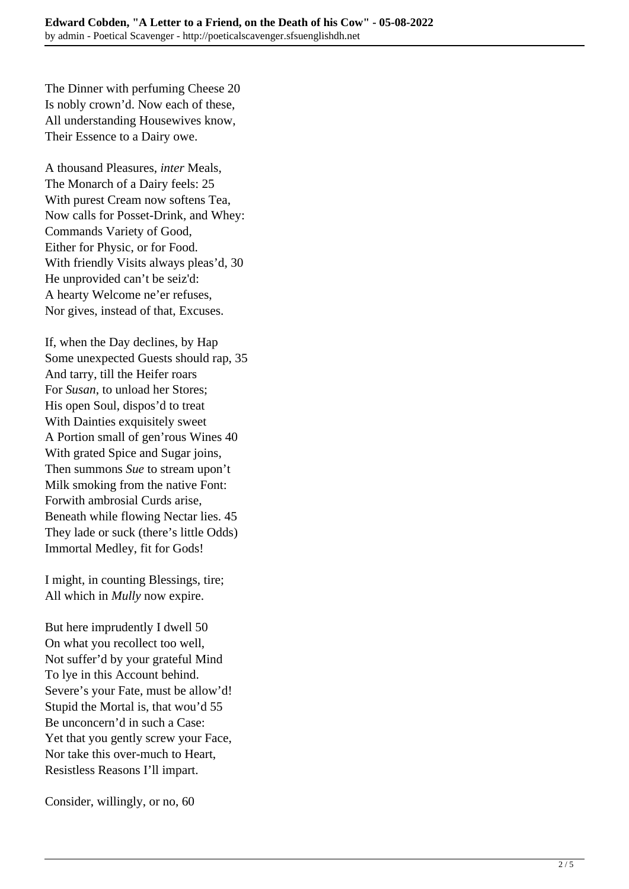The Dinner with perfuming Cheese 20 Is nobly crown'd. Now each of these, All understanding Housewives know, Their Essence to a Dairy owe.

A thousand Pleasures, *inter* Meals, The Monarch of a Dairy feels: 25 With purest Cream now softens Tea, Now calls for Posset-Drink, and Whey: Commands Variety of Good, Either for Physic, or for Food. With friendly Visits always pleas'd, 30 He unprovided can't be seiz'd: A hearty Welcome ne'er refuses, Nor gives, instead of that, Excuses.

If, when the Day declines, by Hap Some unexpected Guests should rap, 35 And tarry, till the Heifer roars For *Susan*, to unload her Stores; His open Soul, dispos'd to treat With Dainties exquisitely sweet A Portion small of gen'rous Wines 40 With grated Spice and Sugar joins, Then summons *Sue* to stream upon't Milk smoking from the native Font: Forwith ambrosial Curds arise, Beneath while flowing Nectar lies. 45 They lade or suck (there's little Odds) Immortal Medley, fit for Gods!

I might, in counting Blessings, tire; All which in *Mully* now expire.

But here imprudently I dwell 50 On what you recollect too well, Not suffer'd by your grateful Mind To lye in this Account behind. Severe's your Fate, must be allow'd! Stupid the Mortal is, that wou'd 55 Be unconcern'd in such a Case: Yet that you gently screw your Face, Nor take this over-much to Heart, Resistless Reasons I'll impart.

Consider, willingly, or no, 60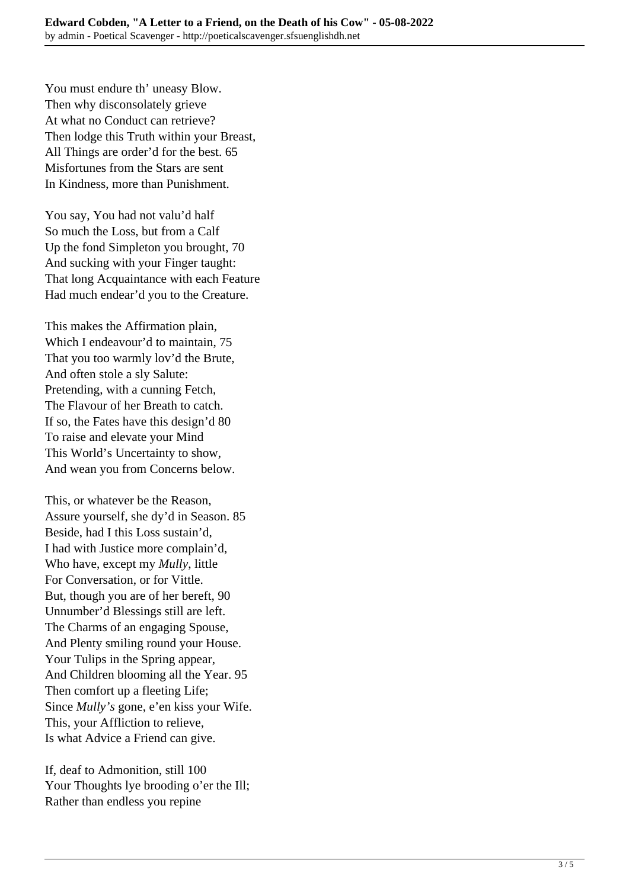You must endure th' uneasy Blow. Then why disconsolately grieve At what no Conduct can retrieve? Then lodge this Truth within your Breast, All Things are order'd for the best. 65 Misfortunes from the Stars are sent In Kindness, more than Punishment.

You say, You had not valu'd half So much the Loss, but from a Calf Up the fond Simpleton you brought, 70 And sucking with your Finger taught: That long Acquaintance with each Feature Had much endear'd you to the Creature.

This makes the Affirmation plain, Which I endeavour'd to maintain, 75 That you too warmly lov'd the Brute, And often stole a sly Salute: Pretending, with a cunning Fetch, The Flavour of her Breath to catch. If so, the Fates have this design'd 80 To raise and elevate your Mind This World's Uncertainty to show, And wean you from Concerns below.

This, or whatever be the Reason, Assure yourself, she dy'd in Season. 85 Beside, had I this Loss sustain'd, I had with Justice more complain'd, Who have, except my *Mully*, little For Conversation, or for Vittle. But, though you are of her bereft, 90 Unnumber'd Blessings still are left. The Charms of an engaging Spouse, And Plenty smiling round your House. Your Tulips in the Spring appear, And Children blooming all the Year. 95 Then comfort up a fleeting Life; Since *Mully's* gone, e'en kiss your Wife. This, your Affliction to relieve, Is what Advice a Friend can give.

If, deaf to Admonition, still 100 Your Thoughts lye brooding o'er the Ill; Rather than endless you repine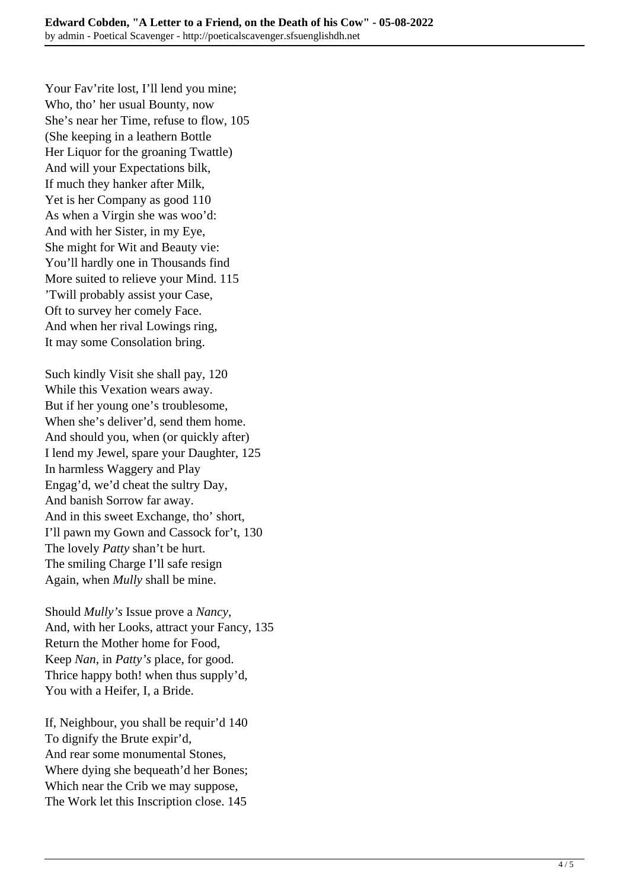Your Fav'rite lost, I'll lend you mine; Who, tho' her usual Bounty, now She's near her Time, refuse to flow, 105 (She keeping in a leathern Bottle Her Liquor for the groaning Twattle) And will your Expectations bilk, If much they hanker after Milk, Yet is her Company as good 110 As when a Virgin she was woo'd: And with her Sister, in my Eye, She might for Wit and Beauty vie: You'll hardly one in Thousands find More suited to relieve your Mind. 115 'Twill probably assist your Case, Oft to survey her comely Face. And when her rival Lowings ring, It may some Consolation bring.

Such kindly Visit she shall pay, 120 While this Vexation wears away. But if her young one's troublesome, When she's deliver'd, send them home. And should you, when (or quickly after) I lend my Jewel, spare your Daughter, 125 In harmless Waggery and Play Engag'd, we'd cheat the sultry Day, And banish Sorrow far away. And in this sweet Exchange, tho' short, I'll pawn my Gown and Cassock for't, 130 The lovely *Patty* shan't be hurt. The smiling Charge I'll safe resign Again, when *Mully* shall be mine.

Should *Mully's* Issue prove a *Nancy,* And, with her Looks, attract your Fancy, 135 Return the Mother home for Food, Keep *Nan*, in *Patty's* place, for good. Thrice happy both! when thus supply'd, You with a Heifer, I, a Bride.

If, Neighbour, you shall be requir'd 140 To dignify the Brute expir'd, And rear some monumental Stones, Where dying she bequeath'd her Bones; Which near the Crib we may suppose, The Work let this Inscription close. 145